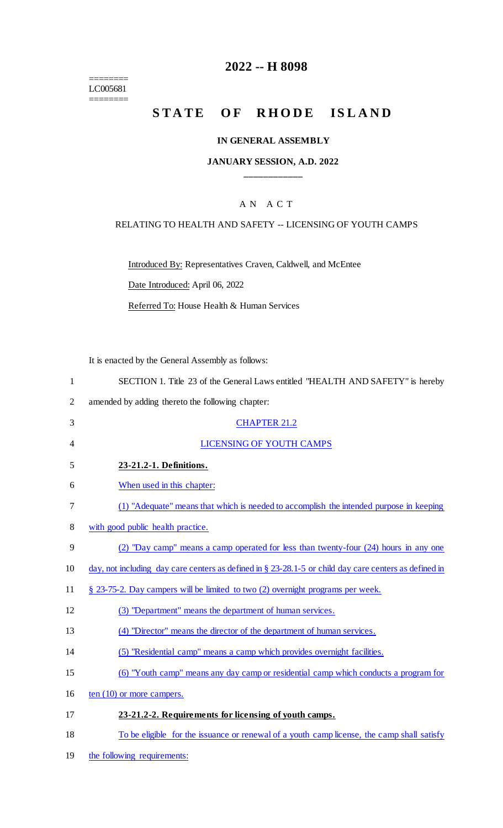======== LC005681 ========

### **2022 -- H 8098**

# STATE OF RHODE ISLAND

#### **IN GENERAL ASSEMBLY**

### **JANUARY SESSION, A.D. 2022 \_\_\_\_\_\_\_\_\_\_\_\_**

### A N A C T

#### RELATING TO HEALTH AND SAFETY -- LICENSING OF YOUTH CAMPS

Introduced By: Representatives Craven, Caldwell, and McEntee

Date Introduced: April 06, 2022

Referred To: House Health & Human Services

It is enacted by the General Assembly as follows:

|   | SECTION 1. Title 23 of the General Laws entitled "HEALTH AND SAFETY" is hereby |
|---|--------------------------------------------------------------------------------|
| 2 | amended by adding thereto the following chapter:                               |
| 3 | <b>CHAPTER 21.2</b>                                                            |
| 4 | <b>LICENSING OF YOUTH CAMPS</b>                                                |
| 5 | 23-21.2-1. Definitions.                                                        |
| 6 | When used in this chapter:                                                     |

- 7 (1) "Adequate" means that which is needed to accomplish the intended purpose in keeping
- 8 with good public health practice.
- 9 (2) "Day camp" means a camp operated for less than twenty-four (24) hours in any one
- 10 day, not including day care centers as defined in § 23-28.1-5 or child day care centers as defined in
- 11 § 23-75-2. Day campers will be limited to two (2) overnight programs per week.
- 12 (3) "Department" means the department of human services.
- 13 (4) "Director" means the director of the department of human services.
- 14 (5) "Residential camp" means a camp which provides overnight facilities.
- 15 (6) "Youth camp" means any day camp or residential camp which conducts a program for
- 16 ten (10) or more campers.
- 17 **23-21.2-2. Requirements for licensing of youth camps.**
- 18 To be eligible for the issuance or renewal of a youth camp license, the camp shall satisfy
- 19 the following requirements: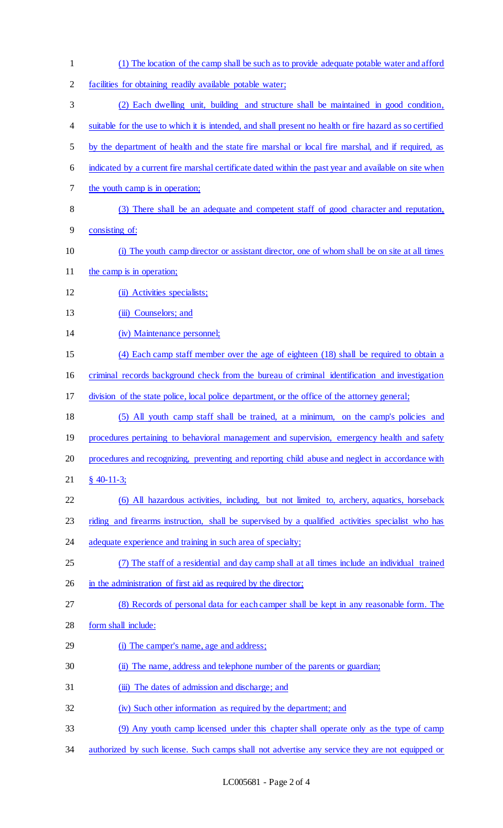(1) The location of the camp shall be such as to provide adequate potable water and afford facilities for obtaining readily available potable water; (2) Each dwelling unit, building and structure shall be maintained in good condition, 4 suitable for the use to which it is intended, and shall present no health or fire hazard as so certified by the department of health and the state fire marshal or local fire marshal, and if required, as indicated by a current fire marshal certificate dated within the past year and available on site when the youth camp is in operation; (3) There shall be an adequate and competent staff of good character and reputation, consisting of: (i) The youth camp director or assistant director, one of whom shall be on site at all times 11 the camp is in operation; 12 (ii) Activities specialists; 13 (iii) Counselors; and (iv) Maintenance personnel; (4) Each camp staff member over the age of eighteen (18) shall be required to obtain a criminal records background check from the bureau of criminal identification and investigation division of the state police, local police department, or the office of the attorney general; (5) All youth camp staff shall be trained, at a minimum, on the camp's policies and 19 procedures pertaining to behavioral management and supervision, emergency health and safety procedures and recognizing, preventing and reporting child abuse and neglect in accordance with § 40-11-3; (6) All hazardous activities, including, but not limited to, archery, aquatics, horseback riding and firearms instruction, shall be supervised by a qualified activities specialist who has adequate experience and training in such area of specialty; (7) The staff of a residential and day camp shall at all times include an individual trained 26 in the administration of first aid as required by the director; (8) Records of personal data for each camper shall be kept in any reasonable form. The form shall include: (i) The camper's name, age and address; (ii) The name, address and telephone number of the parents or guardian; (iii) The dates of admission and discharge; and (iv) Such other information as required by the department; and (9) Any youth camp licensed under this chapter shall operate only as the type of camp 34 authorized by such license. Such camps shall not advertise any service they are not equipped or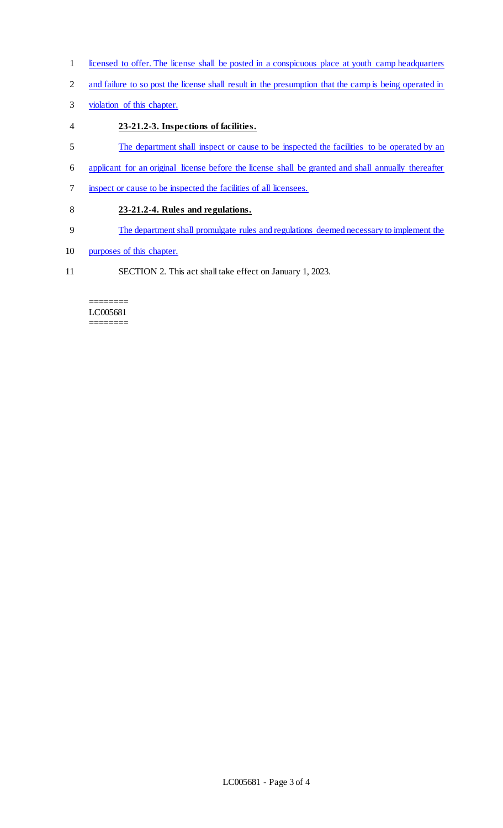- 1 licensed to offer. The license shall be posted in a conspicuous place at youth camp headquarters
- 2 and failure to so post the license shall result in the presumption that the camp is being operated in
- 3 violation of this chapter.
- 4 **23-21.2-3. Inspections of facilities.**
- 5 The department shall inspect or cause to be inspected the facilities to be operated by an
- 6 applicant for an original license before the license shall be granted and shall annually thereafter
- 7 inspect or cause to be inspected the facilities of all licensees.
- 8 **23-21.2-4. Rules and regulations.**
- 9 The department shall promulgate rules and regulations deemed necessary to implement the
- 10 purposes of this chapter.
- 11 SECTION 2. This act shall take effect on January 1, 2023.

#### ======== LC005681 ========